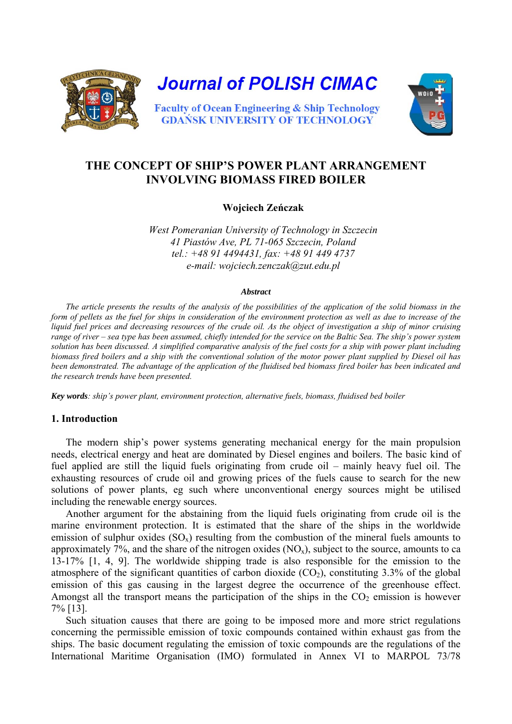

# **THE CONCEPT OF SHIP'S POWER PLANT ARRANGEMENT INVOLVING BIOMASS FIRED BOILER**

# **Wojciech Zeńczak**

*West Pomeranian University of Technology in Szczecin 41 Piastów Ave, PL 71-065 Szczecin, Poland tel.: +48 91 4494431, fax: +48 91 449 4737 e-mail: wojciech.zenczak@zut.edu.pl*

#### *Abstract*

*The article presents the results of the analysis of the possibilities of the application of the solid biomass in the form of pellets as the fuel for ships in consideration of the environment protection as well as due to increase of the liquid fuel prices and decreasing resources of the crude oil. As the object of investigation a ship of minor cruising range of river – sea type has been assumed, chiefly intended for the service on the Baltic Sea. The ship's power system solution has been discussed. A simplified comparative analysis of the fuel costs for a ship with power plant including biomass fired boilers and a ship with the conventional solution of the motor power plant supplied by Diesel oil has been demonstrated. The advantage of the application of the fluidised bed biomass fired boiler has been indicated and the research trends have been presented.* 

*Key words: ship's power plant, environment protection, alternative fuels, biomass, fluidised bed boiler* 

# **1. Introduction**

The modern ship's power systems generating mechanical energy for the main propulsion needs, electrical energy and heat are dominated by Diesel engines and boilers. The basic kind of fuel applied are still the liquid fuels originating from crude oil – mainly heavy fuel oil. The exhausting resources of crude oil and growing prices of the fuels cause to search for the new solutions of power plants, eg such where unconventional energy sources might be utilised including the renewable energy sources.

Another argument for the abstaining from the liquid fuels originating from crude oil is the marine environment protection. It is estimated that the share of the ships in the worldwide emission of sulphur oxides  $(SO_x)$  resulting from the combustion of the mineral fuels amounts to approximately 7%, and the share of the nitrogen oxides  $(NO_x)$ , subject to the source, amounts to ca 13-17% [1, 4, 9]. The worldwide shipping trade is also responsible for the emission to the atmosphere of the significant quantities of carbon dioxide  $(CO<sub>2</sub>)$ , constituting 3.3% of the global emission of this gas causing in the largest degree the occurrence of the greenhouse effect. Amongst all the transport means the participation of the ships in the  $CO<sub>2</sub>$  emission is however 7% [13].

Such situation causes that there are going to be imposed more and more strict regulations concerning the permissible emission of toxic compounds contained within exhaust gas from the ships. The basic document regulating the emission of toxic compounds are the regulations of the International Maritime Organisation (IMO) formulated in Annex VI to MARPOL 73/78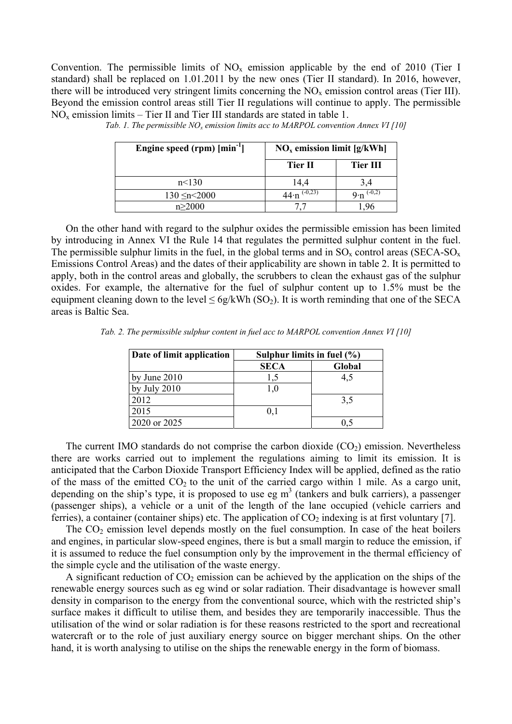Convention. The permissible limits of  $NO<sub>x</sub>$  emission applicable by the end of 2010 (Tier I standard) shall be replaced on 1.01.2011 by the new ones (Tier II standard). In 2016, however, there will be introduced very stringent limits concerning the  $NO<sub>x</sub>$  emission control areas (Tier III). Beyond the emission control areas still Tier II regulations will continue to apply. The permissible  $NO<sub>x</sub>$  emission limits – Tier II and Tier III standards are stated in table 1.

| Engine speed (rpm) [min <sup>-1</sup> ] | $NOx$ emission limit [g/kWh] |                               |
|-----------------------------------------|------------------------------|-------------------------------|
|                                         | Tier II                      | <b>Tier III</b>               |
| n<130                                   | 14.4                         | 3.4                           |
| $130 \le n \le 2000$                    | $44 \cdot n^{(-0,23)}$       | $9 \cdot n$ <sup>(-0,2)</sup> |
| n > 2000                                |                              |                               |

*Tab. 1. The permissible NO<sub>x</sub> emission limits acc to MARPOL convention Annex VI* [10]

On the other hand with regard to the sulphur oxides the permissible emission has been limited by introducing in Annex VI the Rule 14 that regulates the permitted sulphur content in the fuel. The permissible sulphur limits in the fuel, in the global terms and in  $SO_x$  control areas (SECA-SO<sub>x</sub> Emissions Control Areas) and the dates of their applicability are shown in table 2. It is permitted to apply, both in the control areas and globally, the scrubbers to clean the exhaust gas of the sulphur oxides. For example, the alternative for the fuel of sulphur content up to 1.5% must be the equipment cleaning down to the level  $\leq 6g/kWh$  (SO<sub>2</sub>). It is worth reminding that one of the SECA areas is Baltic Sea.

*Tab. 2. The permissible sulphur content in fuel acc to MARPOL convention Annex VI [10]* 

| Date of limit application | Sulphur limits in fuel $(\% )$ |        |
|---------------------------|--------------------------------|--------|
|                           | <b>SECA</b>                    | Global |
| by June 2010              |                                | 4,5    |
| by July $2010$            |                                |        |
| 2012                      |                                | 3,5    |
| 2015                      | 0,1                            |        |
| 2020 or 2025              |                                |        |

The current IMO standards do not comprise the carbon dioxide  $(CO<sub>2</sub>)$  emission. Nevertheless there are works carried out to implement the regulations aiming to limit its emission. It is anticipated that the Carbon Dioxide Transport Efficiency Index will be applied, defined as the ratio of the mass of the emitted  $CO<sub>2</sub>$  to the unit of the carried cargo within 1 mile. As a cargo unit, depending on the ship's type, it is proposed to use eg  $m<sup>3</sup>$  (tankers and bulk carriers), a passenger (passenger ships), a vehicle or a unit of the length of the lane occupied (vehicle carriers and ferries), a container (container ships) etc. The application of  $CO<sub>2</sub>$  indexing is at first voluntary [7].

The  $CO<sub>2</sub>$  emission level depends mostly on the fuel consumption. In case of the heat boilers and engines, in particular slow-speed engines, there is but a small margin to reduce the emission, if it is assumed to reduce the fuel consumption only by the improvement in the thermal efficiency of the simple cycle and the utilisation of the waste energy.

A significant reduction of  $CO<sub>2</sub>$  emission can be achieved by the application on the ships of the renewable energy sources such as eg wind or solar radiation. Their disadvantage is however small density in comparison to the energy from the conventional source, which with the restricted ship's surface makes it difficult to utilise them, and besides they are temporarily inaccessible. Thus the utilisation of the wind or solar radiation is for these reasons restricted to the sport and recreational watercraft or to the role of just auxiliary energy source on bigger merchant ships. On the other hand, it is worth analysing to utilise on the ships the renewable energy in the form of biomass.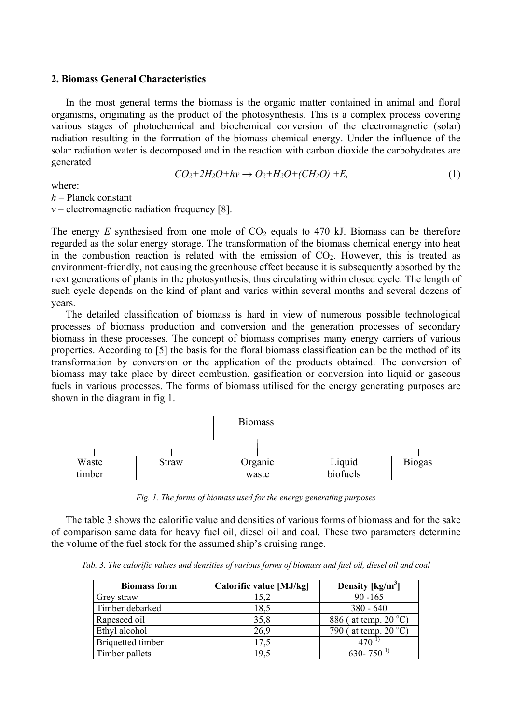### **2. Biomass General Characteristics**

In the most general terms the biomass is the organic matter contained in animal and floral organisms, originating as the product of the photosynthesis. This is a complex process covering various stages of photochemical and biochemical conversion of the electromagnetic (solar) radiation resulting in the formation of the biomass chemical energy. Under the influence of the solar radiation water is decomposed and in the reaction with carbon dioxide the carbohydrates are generated

$$
CO_2+2H_2O+h\nu \to O_2+H_2O+(CH_2O)+E,\tag{1}
$$

where:

*h –* Planck constant

 $v$  – electromagnetic radiation frequency [8].

The energy  $E$  synthesised from one mole of  $CO<sub>2</sub>$  equals to 470 kJ. Biomass can be therefore regarded as the solar energy storage. The transformation of the biomass chemical energy into heat in the combustion reaction is related with the emission of  $CO<sub>2</sub>$ . However, this is treated as environment-friendly, not causing the greenhouse effect because it is subsequently absorbed by the next generations of plants in the photosynthesis, thus circulating within closed cycle. The length of such cycle depends on the kind of plant and varies within several months and several dozens of years.

The detailed classification of biomass is hard in view of numerous possible technological processes of biomass production and conversion and the generation processes of secondary biomass in these processes. The concept of biomass comprises many energy carriers of various properties. According to [5] the basis for the floral biomass classification can be the method of its transformation by conversion or the application of the products obtained. The conversion of biomass may take place by direct combustion, gasification or conversion into liquid or gaseous fuels in various processes. The forms of biomass utilised for the energy generating purposes are shown in the diagram in fig 1.



*Fig. 1. The forms of biomass used for the energy generating purposes* 

The table 3 shows the calorific value and densities of various forms of biomass and for the sake of comparison same data for heavy fuel oil, diesel oil and coal. These two parameters determine the volume of the fuel stock for the assumed ship's cruising range.

*Tab. 3. The calorific values and densities of various forms of biomass and fuel oil, diesel oil and coal* 

| <b>Biomass form</b>      | Calorific value [MJ/kg] | Density $\lceil \text{kg/m}^3 \rceil$ |
|--------------------------|-------------------------|---------------------------------------|
| Grey straw               | 15,2                    | $90 - 165$                            |
| Timber debarked          | 18,5                    | $380 - 640$                           |
| Rapeseed oil             | 35,8                    | 886 (at temp. 20 °C)                  |
| Ethyl alcohol            | 26,9                    | 790 ( at temp. $20^{\circ}$ C)        |
| <b>Briquetted timber</b> | 17,5                    | $470^{11}$                            |
| Timber pallets           | 19,5                    | 630-750                               |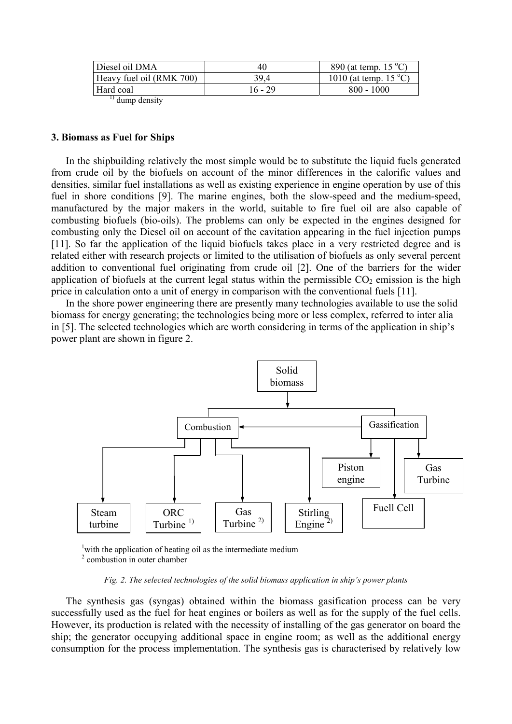| Heavy fuel oil (RMK 700)<br>39 4 | 890 (at temp. $15^{\circ}$ C)<br>40 | Diesel oil DMA |
|----------------------------------|-------------------------------------|----------------|
|                                  | 1010 (at temp. $15^{\circ}$ C)      |                |
| Hard coal<br>16 - 29             | $800 - 1000$                        |                |

 $^{1)}$  dump density

# **3. Biomass as Fuel for Ships**

In the shipbuilding relatively the most simple would be to substitute the liquid fuels generated from crude oil by the biofuels on account of the minor differences in the calorific values and densities, similar fuel installations as well as existing experience in engine operation by use of this fuel in shore conditions [9]. The marine engines, both the slow-speed and the medium-speed, manufactured by the major makers in the world, suitable to fire fuel oil are also capable of combusting biofuels (bio-oils). The problems can only be expected in the engines designed for combusting only the Diesel oil on account of the cavitation appearing in the fuel injection pumps [11]. So far the application of the liquid biofuels takes place in a very restricted degree and is related either with research projects or limited to the utilisation of biofuels as only several percent addition to conventional fuel originating from crude oil [2]. One of the barriers for the wider application of biofuels at the current legal status within the permissible  $CO<sub>2</sub>$  emission is the high price in calculation onto a unit of energy in comparison with the conventional fuels [11].

In the shore power engineering there are presently many technologies available to use the solid biomass for energy generating; the technologies being more or less complex, referred to inter alia in [5]. The selected technologies which are worth considering in terms of the application in ship's power plant are shown in figure 2.



<sup>1</sup> with the application of heating oil as the intermediate medium 2 combustion in outer chamber

#### *Fig. 2. The selected technologies of the solid biomass application in ship's power plants*

The synthesis gas (syngas) obtained within the biomass gasification process can be very successfully used as the fuel for heat engines or boilers as well as for the supply of the fuel cells. However, its production is related with the necessity of installing of the gas generator on board the ship; the generator occupying additional space in engine room; as well as the additional energy consumption for the process implementation. The synthesis gas is characterised by relatively low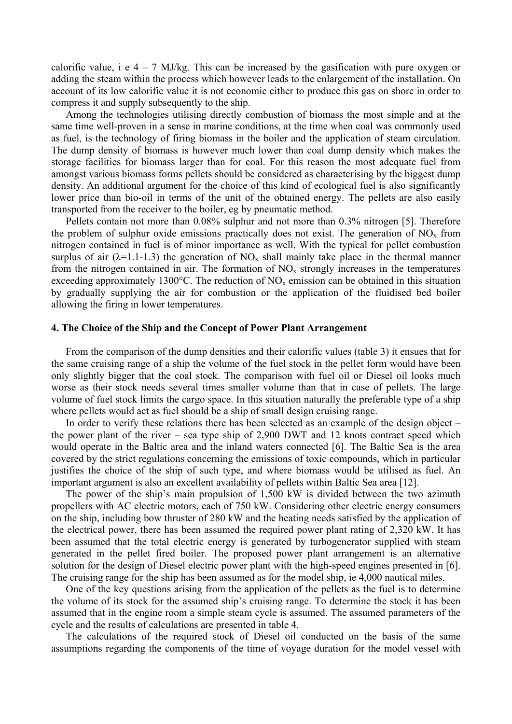calorific value, i e  $4 - 7$  MJ/kg. This can be increased by the gasification with pure oxygen or adding the steam within the process which however leads to the enlargement of the installation. On account of its low calorific value it is not economic either to produce this gas on shore in order to compress it and supply subsequently to the ship.

Among the technologies utilising directly combustion of biomass the most simple and at the same time well-proven in a sense in marine conditions, at the time when coal was commonly used as fuel, is the technology of firing biomass in the boiler and the application of steam circulation. The dump density of biomass is however much lower than coal dump density which makes the storage facilities for biomass larger than for coal. For this reason the most adequate fuel from amongst various biomass forms pellets should be considered as characterising by the biggest dump density. An additional argument for the choice of this kind of ecological fuel is also significantly lower price than bio-oil in terms of the unit of the obtained energy. The pellets are also easily transported from the receiver to the boiler, eg by pneumatic method.

Pellets contain not more than 0.08% sulphur and not more than 0.3% nitrogen [5]. Therefore the problem of sulphur oxide emissions practically does not exist. The generation of  $NO<sub>x</sub>$  from nitrogen contained in fuel is of minor importance as well. With the typical for pellet combustion surplus of air ( $\lambda$ =1.1-1.3) the generation of NO<sub>x</sub> shall mainly take place in the thermal manner from the nitrogen contained in air. The formation of  $NO<sub>x</sub>$  strongly increases in the temperatures exceeding approximately 1300 $^{\circ}$ C. The reduction of NO<sub>x</sub> emission can be obtained in this situation by gradually supplying the air for combustion or the application of the fluidised bed boiler allowing the firing in lower temperatures.

# **4. The Choice of the Ship and the Concept of Power Plant Arrangement**

From the comparison of the dump densities and their calorific values (table 3) it ensues that for the same cruising range of a ship the volume of the fuel stock in the pellet form would have been only slightly bigger that the coal stock. The comparison with fuel oil or Diesel oil looks much worse as their stock needs several times smaller volume than that in case of pellets. The large volume of fuel stock limits the cargo space. In this situation naturally the preferable type of a ship where pellets would act as fuel should be a ship of small design cruising range.

In order to verify these relations there has been selected as an example of the design object – the power plant of the river – sea type ship of 2,900 DWT and 12 knots contract speed which would operate in the Baltic area and the inland waters connected [6]. The Baltic Sea is the area covered by the strict regulations concerning the emissions of toxic compounds, which in particular justifies the choice of the ship of such type, and where biomass would be utilised as fuel. An important argument is also an excellent availability of pellets within Baltic Sea area [12].

The power of the ship's main propulsion of 1,500 kW is divided between the two azimuth propellers with AC electric motors, each of 750 kW. Considering other electric energy consumers on the ship, including bow thruster of 280 kW and the heating needs satisfied by the application of the electrical power, there has been assumed the required power plant rating of 2,320 kW. It has been assumed that the total electric energy is generated by turbogenerator supplied with steam generated in the pellet fired boiler. The proposed power plant arrangement is an alternative solution for the design of Diesel electric power plant with the high-speed engines presented in [6]. The cruising range for the ship has been assumed as for the model ship, ie 4,000 nautical miles.

One of the key questions arising from the application of the pellets as the fuel is to determine the volume of its stock for the assumed ship's cruising range. To determine the stock it has been assumed that in the engine room a simple steam cycle is assumed. The assumed parameters of the cycle and the results of calculations are presented in table 4.

The calculations of the required stock of Diesel oil conducted on the basis of the same assumptions regarding the components of the time of voyage duration for the model vessel with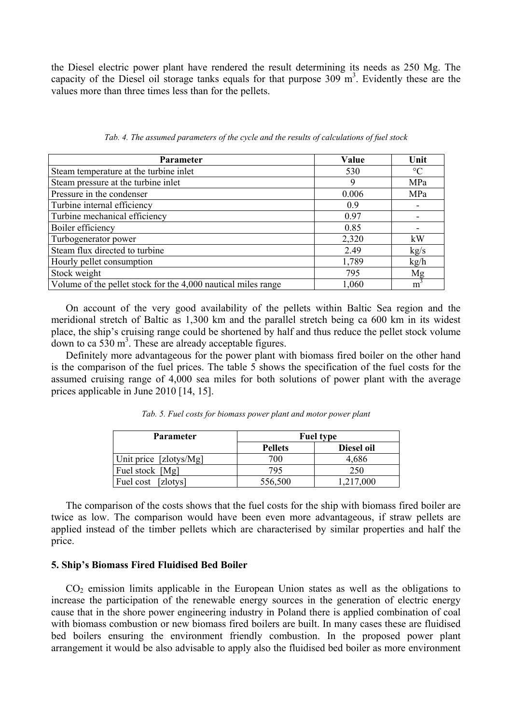the Diesel electric power plant have rendered the result determining its needs as 250 Mg. The capacity of the Diesel oil storage tanks equals for that purpose  $309 \text{ m}^3$ . Evidently these are the values more than three times less than for the pellets.

| <b>Parameter</b>                                              | Value | Unit            |
|---------------------------------------------------------------|-------|-----------------|
| Steam temperature at the turbine inlet                        | 530   | $\rm ^{\circ}C$ |
| Steam pressure at the turbine inlet                           | 9     | MPa             |
| Pressure in the condenser                                     | 0.006 | MPa             |
| Turbine internal efficiency                                   | 0.9   |                 |
| Turbine mechanical efficiency                                 | 0.97  |                 |
| Boiler efficiency                                             | 0.85  |                 |
| Turbogenerator power                                          | 2,320 | kW              |
| Steam flux directed to turbine                                | 2.49  | kg/s            |
| Hourly pellet consumption                                     | 1,789 | kg/h            |
| Stock weight                                                  | 795   | Mg              |
| Volume of the pellet stock for the 4,000 nautical miles range | 1,060 | m               |

*Tab. 4. The assumed parameters of the cycle and the results of calculations of fuel stock* 

On account of the very good availability of the pellets within Baltic Sea region and the meridional stretch of Baltic as 1,300 km and the parallel stretch being ca 600 km in its widest place, the ship's cruising range could be shortened by half and thus reduce the pellet stock volume  $d$ own to ca 530 m<sup>3</sup>. These are already acceptable figures.

Definitely more advantageous for the power plant with biomass fired boiler on the other hand is the comparison of the fuel prices. The table 5 shows the specification of the fuel costs for the assumed cruising range of 4,000 sea miles for both solutions of power plant with the average prices applicable in June 2010 [14, 15].

| <b>Parameter</b>       |                | <b>Fuel type</b> |  |  |
|------------------------|----------------|------------------|--|--|
|                        | <b>Pellets</b> | Diesel oil       |  |  |
| Unit price [zlotys/Mg] | 700            | 4,686            |  |  |
| Fuel stock [Mg]        | 795            | 250              |  |  |
| Fuel cost [zlotys]     | 556,500        | 1,217,000        |  |  |

*Tab. 5. Fuel costs for biomass power plant and motor power plant* 

The comparison of the costs shows that the fuel costs for the ship with biomass fired boiler are twice as low. The comparison would have been even more advantageous, if straw pellets are applied instead of the timber pellets which are characterised by similar properties and half the price.

# **5. Ship's Biomass Fired Fluidised Bed Boiler**

 $CO<sub>2</sub>$  emission limits applicable in the European Union states as well as the obligations to increase the participation of the renewable energy sources in the generation of electric energy cause that in the shore power engineering industry in Poland there is applied combination of coal with biomass combustion or new biomass fired boilers are built. In many cases these are fluidised bed boilers ensuring the environment friendly combustion. In the proposed power plant arrangement it would be also advisable to apply also the fluidised bed boiler as more environment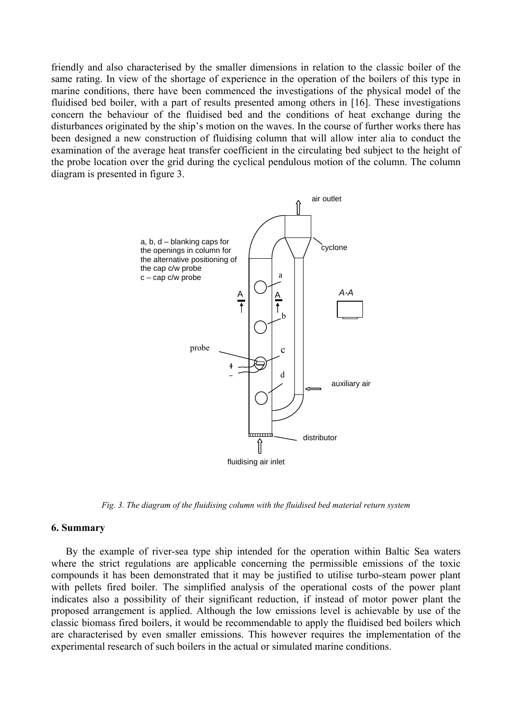friendly and also characterised by the smaller dimensions in relation to the classic boiler of the same rating. In view of the shortage of experience in the operation of the boilers of this type in marine conditions, there have been commenced the investigations of the physical model of the fluidised bed boiler, with a part of results presented among others in [16]. These investigations concern the behaviour of the fluidised bed and the conditions of heat exchange during the disturbances originated by the ship's motion on the waves. In the course of further works there has been designed a new construction of fluidising column that will allow inter alia to conduct the examination of the average heat transfer coefficient in the circulating bed subject to the height of the probe location over the grid during the cyclical pendulous motion of the column. The column diagram is presented in figure 3.



*Fig. 3. The diagram of the fluidising column with the fluidised bed material return system* 

#### **6. Summary**

By the example of river-sea type ship intended for the operation within Baltic Sea waters where the strict regulations are applicable concerning the permissible emissions of the toxic compounds it has been demonstrated that it may be justified to utilise turbo-steam power plant with pellets fired boiler. The simplified analysis of the operational costs of the power plant indicates also a possibility of their significant reduction, if instead of motor power plant the proposed arrangement is applied. Although the low emissions level is achievable by use of the classic biomass fired boilers, it would be recommendable to apply the fluidised bed boilers which are characterised by even smaller emissions. This however requires the implementation of the experimental research of such boilers in the actual or simulated marine conditions.